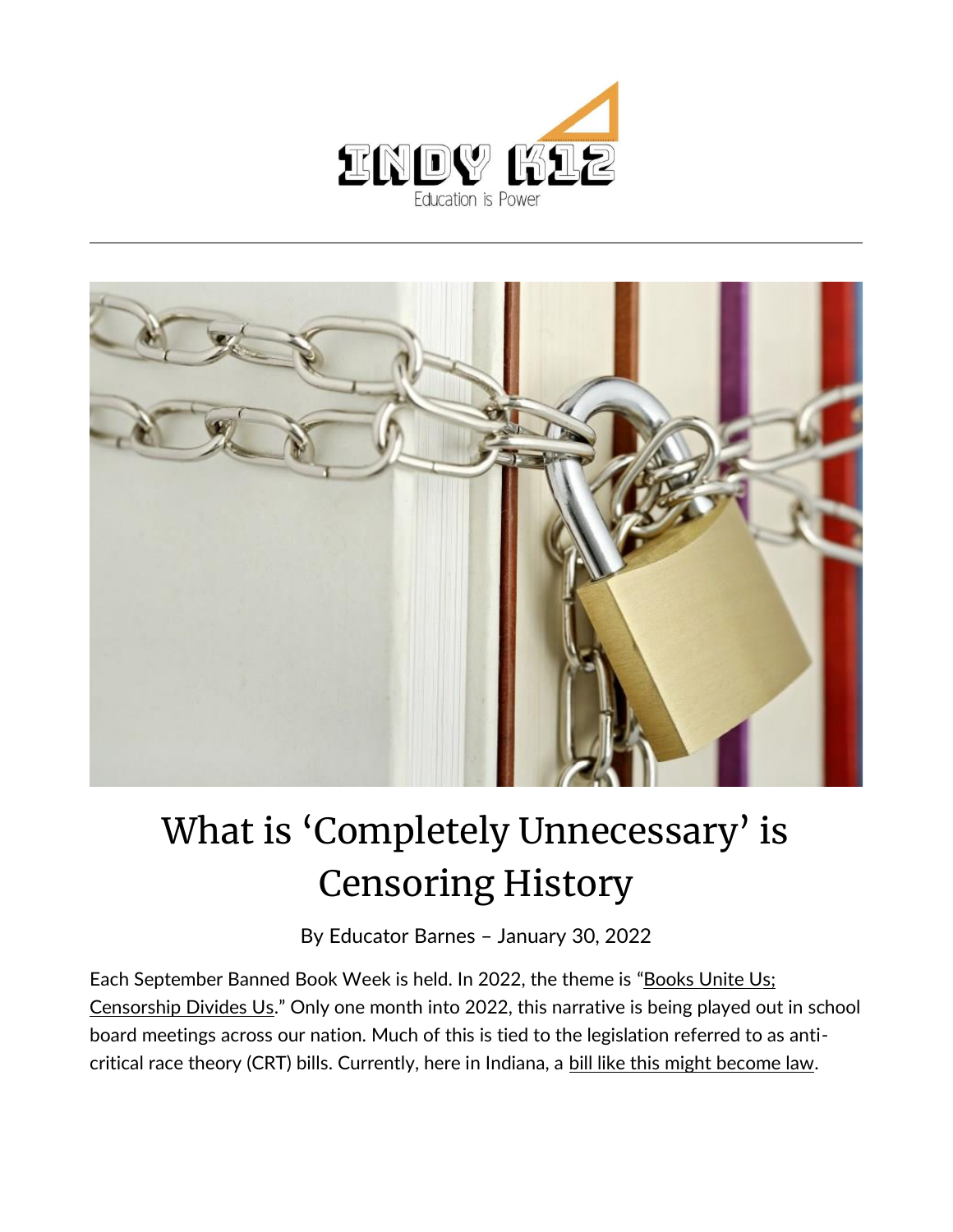



## What is 'Completely Unnecessary' is Censoring History

By [Educator Barnes](https://indy.education/author/shicole/) – January 30, 2022

Each September Banned Book Week is held. In 2022, the theme is "Books Unite Us; [Censorship Divides Us](https://bannedbooksweek.org/#:~:text=Banned%20Books%20Week%20%7C%20September%2018%20%E2%80%93%2024%2C%202022)." Only one month into 2022, this narrative is being played out in school board meetings across our nation. Much of this is tied to the legislation referred to as anticritical race theory (CRT) bills. Currently, here in Indiana, a [bill like this might become law.](https://www.indystar.com/story/news/education/2022/01/26/hb-1134-indiana-critical-race-theory-schools-crt-bill/9225989002/)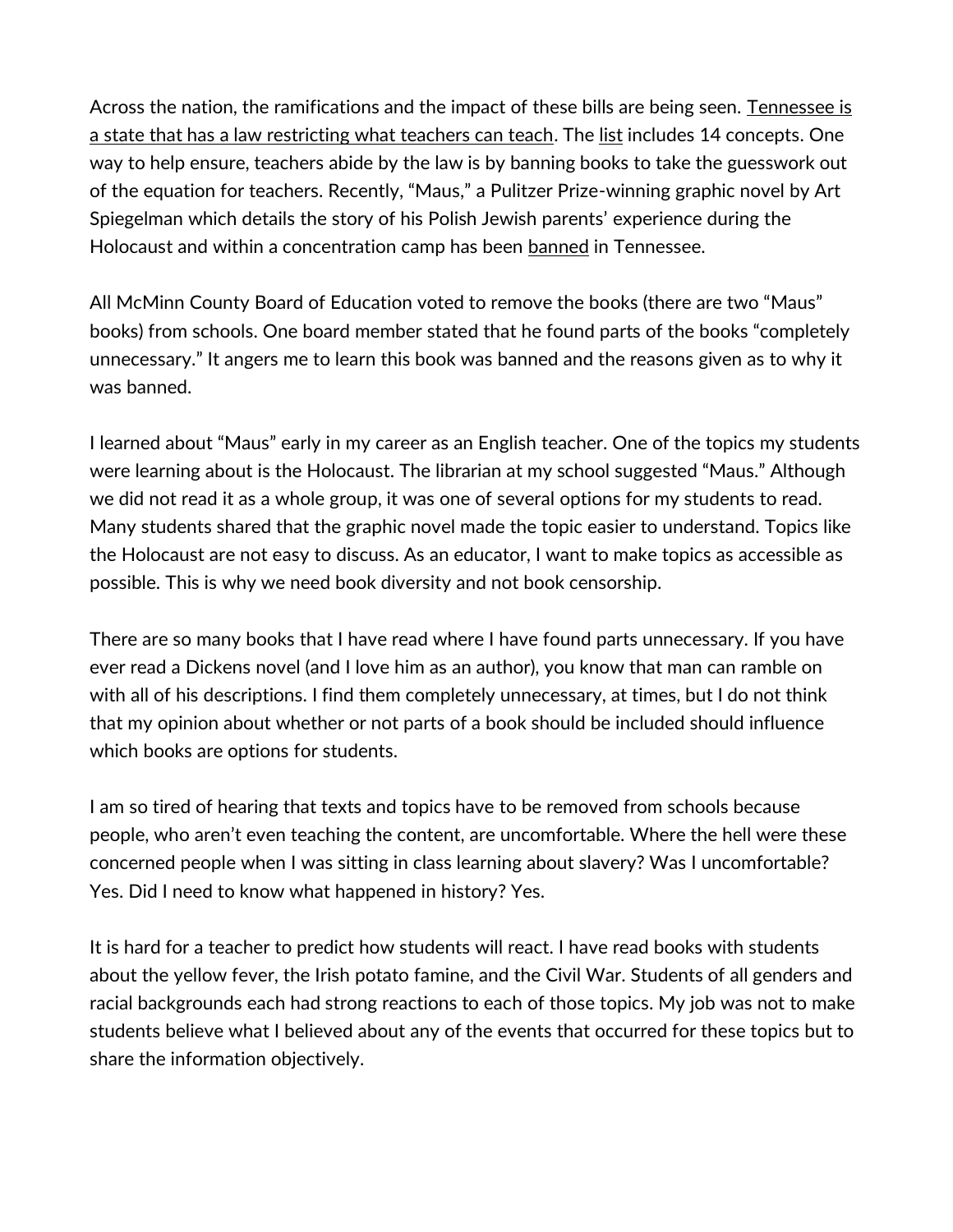Across the nation, the ramifications and the impact of these bills are being seen. Tennessee is [a state that has a law restricting what teachers can teach.](https://tn.chalkbeat.org/2021/11/19/22792435/crt-tennessee-rules-prohibited-racial-concepts-schwinn) The [list](https://s3.documentcloud.org/documents/20697058/tn-hb0580-amendment.pdf) includes 14 concepts. One way to help ensure, teachers abide by the law is by banning books to take the guesswork out of the equation for teachers. Recently, "Maus," a Pulitzer Prize-winning graphic novel by Art Spiegelman which details the story of his Polish Jewish parents' experience during the Holocaust and within a concentration camp has been [banned](https://www.huffpost.com/entry/maus-banned-tennessee-schools_n_61f1ef6de4b0061af25a079d?fbclid=IwAR1ACg6SvAH_wizuIF-aVpybqbZpCmMNtmnCJ_ZrHDUZlojFzYvuAyaF7eY) in Tennessee.

All McMinn County Board of Education voted to remove the books (there are two "Maus" books) from schools. One board member stated that he found parts of the books "completely unnecessary." It angers me to learn this book was banned and the reasons given as to why it was banned.

I learned about "Maus" early in my career as an English teacher. One of the topics my students were learning about is the Holocaust. The librarian at my school suggested "Maus." Although we did not read it as a whole group, it was one of several options for my students to read. Many students shared that the graphic novel made the topic easier to understand. Topics like the Holocaust are not easy to discuss. As an educator, I want to make topics as accessible as possible. This is why we need book diversity and not book censorship.

There are so many books that I have read where I have found parts unnecessary. If you have ever read a Dickens novel (and I love him as an author), you know that man can ramble on with all of his descriptions. I find them completely unnecessary, at times, but I do not think that my opinion about whether or not parts of a book should be included should influence which books are options for students.

I am so tired of hearing that texts and topics have to be removed from schools because people, who aren't even teaching the content, are uncomfortable. Where the hell were these concerned people when I was sitting in class learning about slavery? Was I uncomfortable? Yes. Did I need to know what happened in history? Yes.

It is hard for a teacher to predict how students will react. I have read books with students about the yellow fever, the Irish potato famine, and the Civil War. Students of all genders and racial backgrounds each had strong reactions to each of those topics. My job was not to make students believe what I believed about any of the events that occurred for these topics but to share the information objectively.